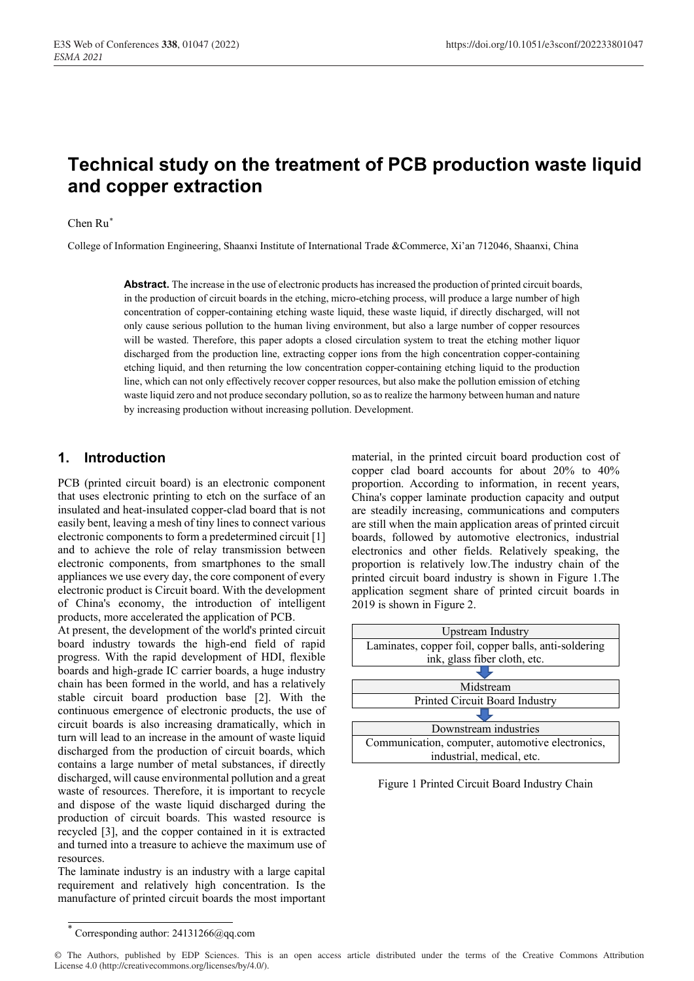# **Technical study on the treatment of PCB production waste liquid and copper extraction**

#### Chen Ru $^*$

College of Information Engineering, Shaanxi Institute of International Trade &Commerce, Xi'an 712046, Shaanxi, China

**Abstract.** The increase in the use of electronic products has increased the production of printed circuit boards, in the production of circuit boards in the etching, micro-etching process, will produce a large number of high concentration of copper-containing etching waste liquid, these waste liquid, if directly discharged, will not only cause serious pollution to the human living environment, but also a large number of copper resources will be wasted. Therefore, this paper adopts a closed circulation system to treat the etching mother liquor discharged from the production line, extracting copper ions from the high concentration copper-containing etching liquid, and then returning the low concentration copper-containing etching liquid to the production line, which can not only effectively recover copper resources, but also make the pollution emission of etching waste liquid zero and not produce secondary pollution, so as to realize the harmony between human and nature by increasing production without increasing pollution. Development.

### **1. Introduction**

PCB (printed circuit board) is an electronic component that uses electronic printing to etch on the surface of an insulated and heat-insulated copper-clad board that is not easily bent, leaving a mesh of tiny lines to connect various electronic components to form a predetermined circuit [1] and to achieve the role of relay transmission between electronic components, from smartphones to the small appliances we use every day, the core component of every electronic product is Circuit board. With the development of China's economy, the introduction of intelligent products, more accelerated the application of PCB.

At present, the development of the world's printed circuit board industry towards the high-end field of rapid progress. With the rapid development of HDI, flexible boards and high-grade IC carrier boards, a huge industry chain has been formed in the world, and has a relatively stable circuit board production base [2]. With the continuous emergence of electronic products, the use of circuit boards is also increasing dramatically, which in turn will lead to an increase in the amount of waste liquid discharged from the production of circuit boards, which contains a large number of metal substances, if directly discharged, will cause environmental pollution and a great waste of resources. Therefore, it is important to recycle and dispose of the waste liquid discharged during the production of circuit boards. This wasted resource is recycled [3], and the copper contained in it is extracted and turned into a treasure to achieve the maximum use of resources.

The laminate industry is an industry with a large capital requirement and relatively high concentration. Is the manufacture of printed circuit boards the most important material, in the printed circuit board production cost of copper clad board accounts for about 20% to 40% proportion. According to information, in recent years, China's copper laminate production capacity and output are steadily increasing, communications and computers are still when the main application areas of printed circuit boards, followed by automotive electronics, industrial electronics and other fields. Relatively speaking, the proportion is relatively low.The industry chain of the printed circuit board industry is shown in Figure 1.The application segment share of printed circuit boards in 2019 is shown in Figure 2.



Figure 1 Printed Circuit Board Industry Chain

<sup>\*</sup> Corresponding author: 24131266@qq.com

<sup>©</sup> The Authors, published by EDP Sciences. This is an open access article distributed under the terms of the Creative Commons Attribution License 4.0 (http://creativecommons.org/licenses/by/4.0/).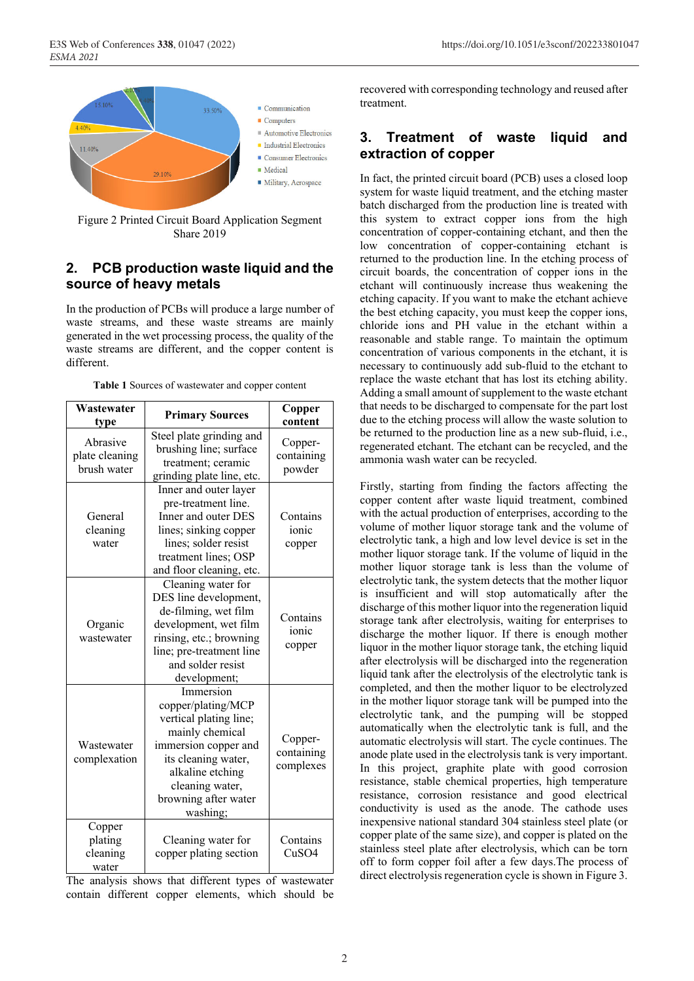

Figure 2 Printed Circuit Board Application Segment Share 2019

### **2. PCB production waste liquid and the source of heavy metals**

In the production of PCBs will produce a large number of waste streams, and these waste streams are mainly generated in the wet processing process, the quality of the waste streams are different, and the copper content is different.

| Wastewater<br>type                        | <b>Primary Sources</b>                                                                                                                                                                                 | Copper<br>content                  |
|-------------------------------------------|--------------------------------------------------------------------------------------------------------------------------------------------------------------------------------------------------------|------------------------------------|
| Abrasive<br>plate cleaning<br>brush water | Steel plate grinding and<br>brushing line; surface<br>treatment; ceramic<br>grinding plate line, etc.                                                                                                  | Copper-<br>containing<br>powder    |
| General<br>cleaning<br>water              | Inner and outer layer<br>pre-treatment line.<br>Inner and outer DES<br>lines; sinking copper<br>lines; solder resist<br>treatment lines; OSP<br>and floor cleaning, etc.                               | Contains<br>ionic<br>copper        |
| Organic<br>wastewater                     | Cleaning water for<br>DES line development,<br>de-filming, wet film<br>development, wet film<br>rinsing, etc.; browning<br>line; pre-treatment line<br>and solder resist<br>development;               | Contains<br>ionic<br>copper        |
| Wastewater<br>complexation                | Immersion<br>copper/plating/MCP<br>vertical plating line;<br>mainly chemical<br>immersion copper and<br>its cleaning water,<br>alkaline etching<br>cleaning water,<br>browning after water<br>washing; | Copper-<br>containing<br>complexes |
| Copper<br>plating<br>cleaning<br>water    | Cleaning water for<br>copper plating section                                                                                                                                                           | Contains<br>CuSO4                  |

**Table 1** Sources of wastewater and copper content

The analysis shows that different types of wastewater contain different copper elements, which should be recovered with corresponding technology and reused after treatment.

### **3. Treatment of waste liquid and extraction of copper**

In fact, the printed circuit board (PCB) uses a closed loop system for waste liquid treatment, and the etching master batch discharged from the production line is treated with this system to extract copper ions from the high concentration of copper-containing etchant, and then the low concentration of copper-containing etchant is returned to the production line. In the etching process of circuit boards, the concentration of copper ions in the etchant will continuously increase thus weakening the etching capacity. If you want to make the etchant achieve the best etching capacity, you must keep the copper ions, chloride ions and PH value in the etchant within a reasonable and stable range. To maintain the optimum concentration of various components in the etchant, it is necessary to continuously add sub-fluid to the etchant to replace the waste etchant that has lost its etching ability. Adding a small amount of supplement to the waste etchant that needs to be discharged to compensate for the part lost due to the etching process will allow the waste solution to be returned to the production line as a new sub-fluid, i.e., regenerated etchant. The etchant can be recycled, and the ammonia wash water can be recycled.

Firstly, starting from finding the factors affecting the copper content after waste liquid treatment, combined with the actual production of enterprises, according to the volume of mother liquor storage tank and the volume of electrolytic tank, a high and low level device is set in the mother liquor storage tank. If the volume of liquid in the mother liquor storage tank is less than the volume of electrolytic tank, the system detects that the mother liquor is insufficient and will stop automatically after the discharge of this mother liquor into the regeneration liquid storage tank after electrolysis, waiting for enterprises to discharge the mother liquor. If there is enough mother liquor in the mother liquor storage tank, the etching liquid after electrolysis will be discharged into the regeneration liquid tank after the electrolysis of the electrolytic tank is completed, and then the mother liquor to be electrolyzed in the mother liquor storage tank will be pumped into the electrolytic tank, and the pumping will be stopped automatically when the electrolytic tank is full, and the automatic electrolysis will start. The cycle continues. The anode plate used in the electrolysis tank is very important. In this project, graphite plate with good corrosion resistance, stable chemical properties, high temperature resistance, corrosion resistance and good electrical conductivity is used as the anode. The cathode uses inexpensive national standard 304 stainless steel plate (or copper plate of the same size), and copper is plated on the stainless steel plate after electrolysis, which can be torn off to form copper foil after a few days.The process of direct electrolysis regeneration cycle is shown in Figure 3.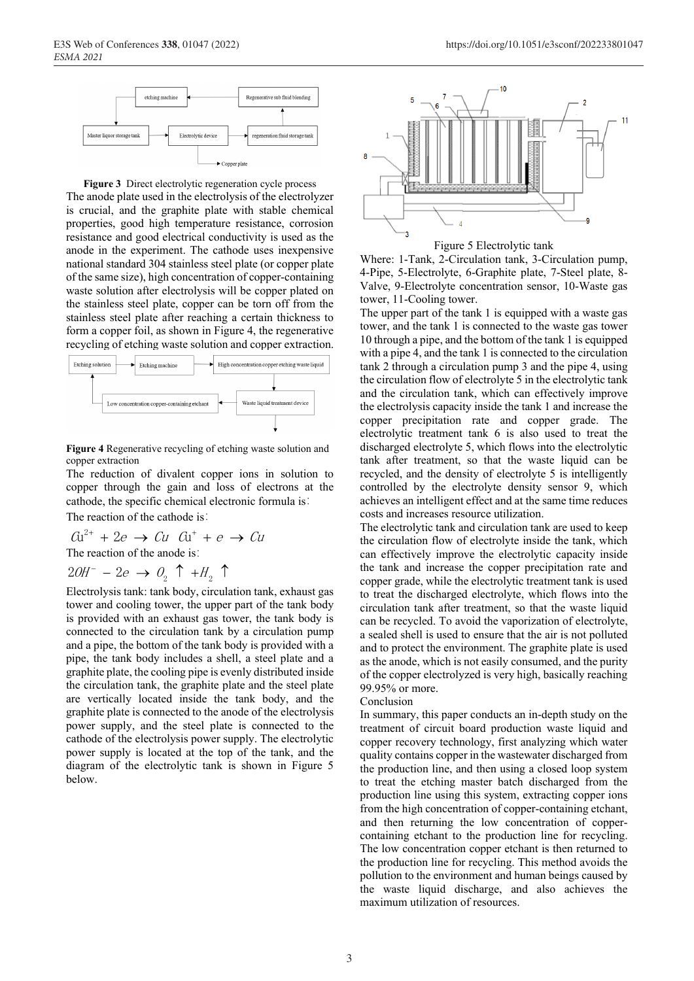

**Figure 3** Direct electrolytic regeneration cycle process The anode plate used in the electrolysis of the electrolyzer is crucial, and the graphite plate with stable chemical properties, good high temperature resistance, corrosion resistance and good electrical conductivity is used as the anode in the experiment. The cathode uses inexpensive national standard 304 stainless steel plate (or copper plate of the same size), high concentration of copper-containing waste solution after electrolysis will be copper plated on the stainless steel plate, copper can be torn off from the stainless steel plate after reaching a certain thickness to form a copper foil, as shown in Figure 4, the regenerative recycling of etching waste solution and copper extraction.



**Figure 4** Regenerative recycling of etching waste solution and copper extraction

The reduction of divalent copper ions in solution to copper through the gain and loss of electrons at the cathode, the specific chemical electronic formula is:

The reaction of the cathode is:

$$
Gu^{2+} + 2e \rightarrow Cu \quad Gu^{+} + e \rightarrow Cu
$$
  
The reaction of the anode is:

$$
2OH^- - 2e \rightarrow O_2 \uparrow + H_2 \uparrow
$$

Electrolysis tank: tank body, circulation tank, exhaust gas tower and cooling tower, the upper part of the tank body is provided with an exhaust gas tower, the tank body is connected to the circulation tank by a circulation pump and a pipe, the bottom of the tank body is provided with a pipe, the tank body includes a shell, a steel plate and a graphite plate, the cooling pipe is evenly distributed inside the circulation tank, the graphite plate and the steel plate are vertically located inside the tank body, and the graphite plate is connected to the anode of the electrolysis power supply, and the steel plate is connected to the cathode of the electrolysis power supply. The electrolytic power supply is located at the top of the tank, and the diagram of the electrolytic tank is shown in Figure 5 below.



Figure 5 Electrolytic tank

Where: 1-Tank, 2-Circulation tank, 3-Circulation pump, 4-Pipe, 5-Electrolyte, 6-Graphite plate, 7-Steel plate, 8- Valve, 9-Electrolyte concentration sensor, 10-Waste gas tower, 11-Cooling tower.

The upper part of the tank 1 is equipped with a waste gas tower, and the tank 1 is connected to the waste gas tower 10 through a pipe, and the bottom of the tank 1 is equipped with a pipe 4, and the tank 1 is connected to the circulation tank 2 through a circulation pump 3 and the pipe 4, using the circulation flow of electrolyte 5 in the electrolytic tank and the circulation tank, which can effectively improve the electrolysis capacity inside the tank 1 and increase the copper precipitation rate and copper grade. The electrolytic treatment tank 6 is also used to treat the discharged electrolyte 5, which flows into the electrolytic tank after treatment, so that the waste liquid can be recycled, and the density of electrolyte 5 is intelligently controlled by the electrolyte density sensor 9, which achieves an intelligent effect and at the same time reduces costs and increases resource utilization.

The electrolytic tank and circulation tank are used to keep the circulation flow of electrolyte inside the tank, which can effectively improve the electrolytic capacity inside the tank and increase the copper precipitation rate and copper grade, while the electrolytic treatment tank is used to treat the discharged electrolyte, which flows into the circulation tank after treatment, so that the waste liquid can be recycled. To avoid the vaporization of electrolyte, a sealed shell is used to ensure that the air is not polluted and to protect the environment. The graphite plate is used as the anode, which is not easily consumed, and the purity of the copper electrolyzed is very high, basically reaching 99.95% or more.

#### Conclusion

In summary, this paper conducts an in-depth study on the treatment of circuit board production waste liquid and copper recovery technology, first analyzing which water quality contains copper in the wastewater discharged from the production line, and then using a closed loop system to treat the etching master batch discharged from the production line using this system, extracting copper ions from the high concentration of copper-containing etchant, and then returning the low concentration of coppercontaining etchant to the production line for recycling. The low concentration copper etchant is then returned to the production line for recycling. This method avoids the pollution to the environment and human beings caused by the waste liquid discharge, and also achieves the maximum utilization of resources.